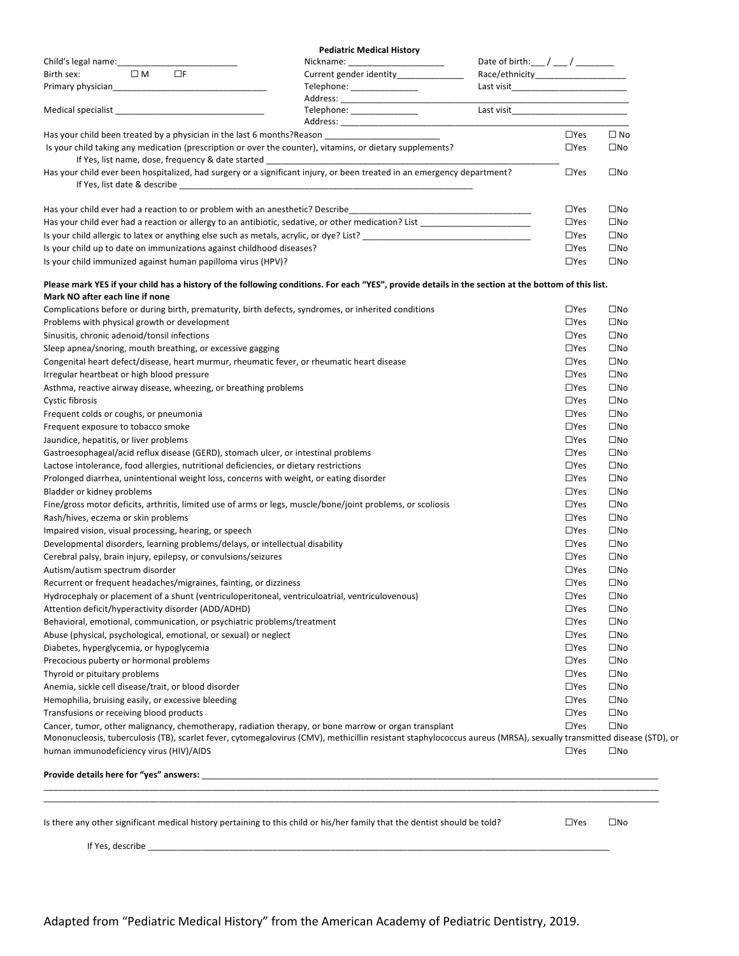| Nickname: ________________________<br>Current gender identity_______________<br>Telephone: _______________<br>Medical specialist<br><u>Medical specialist</u><br>Telephone: __________________ |                                                                                                                                                                                                                                                                                                                                                                                                                                                                                                                                                                                                                                                                                                                                                                                                                                                                                                                                                                                                                                                                                                                                                                                                                                                                                                                                                                                                                                                                                                                                             |                                                                                                                                                                                                                                                                                                                                                                                                                                                                                                                                                                                                                                                                                                                                                                                                                                                                                                                                                                                                                                                                                                                                                                               |
|------------------------------------------------------------------------------------------------------------------------------------------------------------------------------------------------|---------------------------------------------------------------------------------------------------------------------------------------------------------------------------------------------------------------------------------------------------------------------------------------------------------------------------------------------------------------------------------------------------------------------------------------------------------------------------------------------------------------------------------------------------------------------------------------------------------------------------------------------------------------------------------------------------------------------------------------------------------------------------------------------------------------------------------------------------------------------------------------------------------------------------------------------------------------------------------------------------------------------------------------------------------------------------------------------------------------------------------------------------------------------------------------------------------------------------------------------------------------------------------------------------------------------------------------------------------------------------------------------------------------------------------------------------------------------------------------------------------------------------------------------|-------------------------------------------------------------------------------------------------------------------------------------------------------------------------------------------------------------------------------------------------------------------------------------------------------------------------------------------------------------------------------------------------------------------------------------------------------------------------------------------------------------------------------------------------------------------------------------------------------------------------------------------------------------------------------------------------------------------------------------------------------------------------------------------------------------------------------------------------------------------------------------------------------------------------------------------------------------------------------------------------------------------------------------------------------------------------------------------------------------------------------------------------------------------------------|
|                                                                                                                                                                                                |                                                                                                                                                                                                                                                                                                                                                                                                                                                                                                                                                                                                                                                                                                                                                                                                                                                                                                                                                                                                                                                                                                                                                                                                                                                                                                                                                                                                                                                                                                                                             |                                                                                                                                                                                                                                                                                                                                                                                                                                                                                                                                                                                                                                                                                                                                                                                                                                                                                                                                                                                                                                                                                                                                                                               |
|                                                                                                                                                                                                |                                                                                                                                                                                                                                                                                                                                                                                                                                                                                                                                                                                                                                                                                                                                                                                                                                                                                                                                                                                                                                                                                                                                                                                                                                                                                                                                                                                                                                                                                                                                             |                                                                                                                                                                                                                                                                                                                                                                                                                                                                                                                                                                                                                                                                                                                                                                                                                                                                                                                                                                                                                                                                                                                                                                               |
|                                                                                                                                                                                                |                                                                                                                                                                                                                                                                                                                                                                                                                                                                                                                                                                                                                                                                                                                                                                                                                                                                                                                                                                                                                                                                                                                                                                                                                                                                                                                                                                                                                                                                                                                                             |                                                                                                                                                                                                                                                                                                                                                                                                                                                                                                                                                                                                                                                                                                                                                                                                                                                                                                                                                                                                                                                                                                                                                                               |
|                                                                                                                                                                                                |                                                                                                                                                                                                                                                                                                                                                                                                                                                                                                                                                                                                                                                                                                                                                                                                                                                                                                                                                                                                                                                                                                                                                                                                                                                                                                                                                                                                                                                                                                                                             |                                                                                                                                                                                                                                                                                                                                                                                                                                                                                                                                                                                                                                                                                                                                                                                                                                                                                                                                                                                                                                                                                                                                                                               |
|                                                                                                                                                                                                |                                                                                                                                                                                                                                                                                                                                                                                                                                                                                                                                                                                                                                                                                                                                                                                                                                                                                                                                                                                                                                                                                                                                                                                                                                                                                                                                                                                                                                                                                                                                             |                                                                                                                                                                                                                                                                                                                                                                                                                                                                                                                                                                                                                                                                                                                                                                                                                                                                                                                                                                                                                                                                                                                                                                               |
| Has your child been treated by a physician in the last 6 months?Reason ____________________________                                                                                            | $\Box$ Yes                                                                                                                                                                                                                                                                                                                                                                                                                                                                                                                                                                                                                                                                                                                                                                                                                                                                                                                                                                                                                                                                                                                                                                                                                                                                                                                                                                                                                                                                                                                                  | $\Box$ No                                                                                                                                                                                                                                                                                                                                                                                                                                                                                                                                                                                                                                                                                                                                                                                                                                                                                                                                                                                                                                                                                                                                                                     |
| Is your child taking any medication (prescription or over the counter), vitamins, or dietary supplements?                                                                                      | $\Box$ Yes                                                                                                                                                                                                                                                                                                                                                                                                                                                                                                                                                                                                                                                                                                                                                                                                                                                                                                                                                                                                                                                                                                                                                                                                                                                                                                                                                                                                                                                                                                                                  | $\square$ No                                                                                                                                                                                                                                                                                                                                                                                                                                                                                                                                                                                                                                                                                                                                                                                                                                                                                                                                                                                                                                                                                                                                                                  |
|                                                                                                                                                                                                | $\Box$ Yes                                                                                                                                                                                                                                                                                                                                                                                                                                                                                                                                                                                                                                                                                                                                                                                                                                                                                                                                                                                                                                                                                                                                                                                                                                                                                                                                                                                                                                                                                                                                  | $\square$ No                                                                                                                                                                                                                                                                                                                                                                                                                                                                                                                                                                                                                                                                                                                                                                                                                                                                                                                                                                                                                                                                                                                                                                  |
|                                                                                                                                                                                                | $\Box$ Yes                                                                                                                                                                                                                                                                                                                                                                                                                                                                                                                                                                                                                                                                                                                                                                                                                                                                                                                                                                                                                                                                                                                                                                                                                                                                                                                                                                                                                                                                                                                                  | $\square$ No                                                                                                                                                                                                                                                                                                                                                                                                                                                                                                                                                                                                                                                                                                                                                                                                                                                                                                                                                                                                                                                                                                                                                                  |
|                                                                                                                                                                                                | $\Box$ Yes                                                                                                                                                                                                                                                                                                                                                                                                                                                                                                                                                                                                                                                                                                                                                                                                                                                                                                                                                                                                                                                                                                                                                                                                                                                                                                                                                                                                                                                                                                                                  | $\square$ No                                                                                                                                                                                                                                                                                                                                                                                                                                                                                                                                                                                                                                                                                                                                                                                                                                                                                                                                                                                                                                                                                                                                                                  |
|                                                                                                                                                                                                | $\Box$ Yes                                                                                                                                                                                                                                                                                                                                                                                                                                                                                                                                                                                                                                                                                                                                                                                                                                                                                                                                                                                                                                                                                                                                                                                                                                                                                                                                                                                                                                                                                                                                  | $\square$ No                                                                                                                                                                                                                                                                                                                                                                                                                                                                                                                                                                                                                                                                                                                                                                                                                                                                                                                                                                                                                                                                                                                                                                  |
|                                                                                                                                                                                                | $\Box$ Yes                                                                                                                                                                                                                                                                                                                                                                                                                                                                                                                                                                                                                                                                                                                                                                                                                                                                                                                                                                                                                                                                                                                                                                                                                                                                                                                                                                                                                                                                                                                                  | $\square$ No                                                                                                                                                                                                                                                                                                                                                                                                                                                                                                                                                                                                                                                                                                                                                                                                                                                                                                                                                                                                                                                                                                                                                                  |
|                                                                                                                                                                                                | $\Box$ Yes                                                                                                                                                                                                                                                                                                                                                                                                                                                                                                                                                                                                                                                                                                                                                                                                                                                                                                                                                                                                                                                                                                                                                                                                                                                                                                                                                                                                                                                                                                                                  | $\square$ No                                                                                                                                                                                                                                                                                                                                                                                                                                                                                                                                                                                                                                                                                                                                                                                                                                                                                                                                                                                                                                                                                                                                                                  |
|                                                                                                                                                                                                |                                                                                                                                                                                                                                                                                                                                                                                                                                                                                                                                                                                                                                                                                                                                                                                                                                                                                                                                                                                                                                                                                                                                                                                                                                                                                                                                                                                                                                                                                                                                             |                                                                                                                                                                                                                                                                                                                                                                                                                                                                                                                                                                                                                                                                                                                                                                                                                                                                                                                                                                                                                                                                                                                                                                               |
|                                                                                                                                                                                                | $\Box$ Yes                                                                                                                                                                                                                                                                                                                                                                                                                                                                                                                                                                                                                                                                                                                                                                                                                                                                                                                                                                                                                                                                                                                                                                                                                                                                                                                                                                                                                                                                                                                                  | $\square$ No                                                                                                                                                                                                                                                                                                                                                                                                                                                                                                                                                                                                                                                                                                                                                                                                                                                                                                                                                                                                                                                                                                                                                                  |
|                                                                                                                                                                                                | $\Box$ Yes                                                                                                                                                                                                                                                                                                                                                                                                                                                                                                                                                                                                                                                                                                                                                                                                                                                                                                                                                                                                                                                                                                                                                                                                                                                                                                                                                                                                                                                                                                                                  | $\square$ No                                                                                                                                                                                                                                                                                                                                                                                                                                                                                                                                                                                                                                                                                                                                                                                                                                                                                                                                                                                                                                                                                                                                                                  |
|                                                                                                                                                                                                | $\square$ Yes                                                                                                                                                                                                                                                                                                                                                                                                                                                                                                                                                                                                                                                                                                                                                                                                                                                                                                                                                                                                                                                                                                                                                                                                                                                                                                                                                                                                                                                                                                                               | $\square$ No                                                                                                                                                                                                                                                                                                                                                                                                                                                                                                                                                                                                                                                                                                                                                                                                                                                                                                                                                                                                                                                                                                                                                                  |
|                                                                                                                                                                                                | $\Box$ Yes                                                                                                                                                                                                                                                                                                                                                                                                                                                                                                                                                                                                                                                                                                                                                                                                                                                                                                                                                                                                                                                                                                                                                                                                                                                                                                                                                                                                                                                                                                                                  | $\square$ No                                                                                                                                                                                                                                                                                                                                                                                                                                                                                                                                                                                                                                                                                                                                                                                                                                                                                                                                                                                                                                                                                                                                                                  |
|                                                                                                                                                                                                |                                                                                                                                                                                                                                                                                                                                                                                                                                                                                                                                                                                                                                                                                                                                                                                                                                                                                                                                                                                                                                                                                                                                                                                                                                                                                                                                                                                                                                                                                                                                             | $\square$ No                                                                                                                                                                                                                                                                                                                                                                                                                                                                                                                                                                                                                                                                                                                                                                                                                                                                                                                                                                                                                                                                                                                                                                  |
|                                                                                                                                                                                                |                                                                                                                                                                                                                                                                                                                                                                                                                                                                                                                                                                                                                                                                                                                                                                                                                                                                                                                                                                                                                                                                                                                                                                                                                                                                                                                                                                                                                                                                                                                                             | $\square$ No                                                                                                                                                                                                                                                                                                                                                                                                                                                                                                                                                                                                                                                                                                                                                                                                                                                                                                                                                                                                                                                                                                                                                                  |
|                                                                                                                                                                                                |                                                                                                                                                                                                                                                                                                                                                                                                                                                                                                                                                                                                                                                                                                                                                                                                                                                                                                                                                                                                                                                                                                                                                                                                                                                                                                                                                                                                                                                                                                                                             | $\square$ No                                                                                                                                                                                                                                                                                                                                                                                                                                                                                                                                                                                                                                                                                                                                                                                                                                                                                                                                                                                                                                                                                                                                                                  |
|                                                                                                                                                                                                |                                                                                                                                                                                                                                                                                                                                                                                                                                                                                                                                                                                                                                                                                                                                                                                                                                                                                                                                                                                                                                                                                                                                                                                                                                                                                                                                                                                                                                                                                                                                             | $\square$ No                                                                                                                                                                                                                                                                                                                                                                                                                                                                                                                                                                                                                                                                                                                                                                                                                                                                                                                                                                                                                                                                                                                                                                  |
|                                                                                                                                                                                                |                                                                                                                                                                                                                                                                                                                                                                                                                                                                                                                                                                                                                                                                                                                                                                                                                                                                                                                                                                                                                                                                                                                                                                                                                                                                                                                                                                                                                                                                                                                                             | $\square$ No                                                                                                                                                                                                                                                                                                                                                                                                                                                                                                                                                                                                                                                                                                                                                                                                                                                                                                                                                                                                                                                                                                                                                                  |
|                                                                                                                                                                                                |                                                                                                                                                                                                                                                                                                                                                                                                                                                                                                                                                                                                                                                                                                                                                                                                                                                                                                                                                                                                                                                                                                                                                                                                                                                                                                                                                                                                                                                                                                                                             | $\square$ No                                                                                                                                                                                                                                                                                                                                                                                                                                                                                                                                                                                                                                                                                                                                                                                                                                                                                                                                                                                                                                                                                                                                                                  |
|                                                                                                                                                                                                |                                                                                                                                                                                                                                                                                                                                                                                                                                                                                                                                                                                                                                                                                                                                                                                                                                                                                                                                                                                                                                                                                                                                                                                                                                                                                                                                                                                                                                                                                                                                             | $\square$ No                                                                                                                                                                                                                                                                                                                                                                                                                                                                                                                                                                                                                                                                                                                                                                                                                                                                                                                                                                                                                                                                                                                                                                  |
|                                                                                                                                                                                                |                                                                                                                                                                                                                                                                                                                                                                                                                                                                                                                                                                                                                                                                                                                                                                                                                                                                                                                                                                                                                                                                                                                                                                                                                                                                                                                                                                                                                                                                                                                                             | $\square$ No                                                                                                                                                                                                                                                                                                                                                                                                                                                                                                                                                                                                                                                                                                                                                                                                                                                                                                                                                                                                                                                                                                                                                                  |
|                                                                                                                                                                                                |                                                                                                                                                                                                                                                                                                                                                                                                                                                                                                                                                                                                                                                                                                                                                                                                                                                                                                                                                                                                                                                                                                                                                                                                                                                                                                                                                                                                                                                                                                                                             |                                                                                                                                                                                                                                                                                                                                                                                                                                                                                                                                                                                                                                                                                                                                                                                                                                                                                                                                                                                                                                                                                                                                                                               |
|                                                                                                                                                                                                |                                                                                                                                                                                                                                                                                                                                                                                                                                                                                                                                                                                                                                                                                                                                                                                                                                                                                                                                                                                                                                                                                                                                                                                                                                                                                                                                                                                                                                                                                                                                             | $\square$ No                                                                                                                                                                                                                                                                                                                                                                                                                                                                                                                                                                                                                                                                                                                                                                                                                                                                                                                                                                                                                                                                                                                                                                  |
|                                                                                                                                                                                                |                                                                                                                                                                                                                                                                                                                                                                                                                                                                                                                                                                                                                                                                                                                                                                                                                                                                                                                                                                                                                                                                                                                                                                                                                                                                                                                                                                                                                                                                                                                                             | $\square$ No                                                                                                                                                                                                                                                                                                                                                                                                                                                                                                                                                                                                                                                                                                                                                                                                                                                                                                                                                                                                                                                                                                                                                                  |
|                                                                                                                                                                                                |                                                                                                                                                                                                                                                                                                                                                                                                                                                                                                                                                                                                                                                                                                                                                                                                                                                                                                                                                                                                                                                                                                                                                                                                                                                                                                                                                                                                                                                                                                                                             | $\square$ No                                                                                                                                                                                                                                                                                                                                                                                                                                                                                                                                                                                                                                                                                                                                                                                                                                                                                                                                                                                                                                                                                                                                                                  |
|                                                                                                                                                                                                |                                                                                                                                                                                                                                                                                                                                                                                                                                                                                                                                                                                                                                                                                                                                                                                                                                                                                                                                                                                                                                                                                                                                                                                                                                                                                                                                                                                                                                                                                                                                             | $\square$ No                                                                                                                                                                                                                                                                                                                                                                                                                                                                                                                                                                                                                                                                                                                                                                                                                                                                                                                                                                                                                                                                                                                                                                  |
|                                                                                                                                                                                                |                                                                                                                                                                                                                                                                                                                                                                                                                                                                                                                                                                                                                                                                                                                                                                                                                                                                                                                                                                                                                                                                                                                                                                                                                                                                                                                                                                                                                                                                                                                                             | $\square$ No                                                                                                                                                                                                                                                                                                                                                                                                                                                                                                                                                                                                                                                                                                                                                                                                                                                                                                                                                                                                                                                                                                                                                                  |
|                                                                                                                                                                                                |                                                                                                                                                                                                                                                                                                                                                                                                                                                                                                                                                                                                                                                                                                                                                                                                                                                                                                                                                                                                                                                                                                                                                                                                                                                                                                                                                                                                                                                                                                                                             | $\square$ No                                                                                                                                                                                                                                                                                                                                                                                                                                                                                                                                                                                                                                                                                                                                                                                                                                                                                                                                                                                                                                                                                                                                                                  |
|                                                                                                                                                                                                |                                                                                                                                                                                                                                                                                                                                                                                                                                                                                                                                                                                                                                                                                                                                                                                                                                                                                                                                                                                                                                                                                                                                                                                                                                                                                                                                                                                                                                                                                                                                             | $\square$ No                                                                                                                                                                                                                                                                                                                                                                                                                                                                                                                                                                                                                                                                                                                                                                                                                                                                                                                                                                                                                                                                                                                                                                  |
|                                                                                                                                                                                                |                                                                                                                                                                                                                                                                                                                                                                                                                                                                                                                                                                                                                                                                                                                                                                                                                                                                                                                                                                                                                                                                                                                                                                                                                                                                                                                                                                                                                                                                                                                                             | $\square$ No                                                                                                                                                                                                                                                                                                                                                                                                                                                                                                                                                                                                                                                                                                                                                                                                                                                                                                                                                                                                                                                                                                                                                                  |
|                                                                                                                                                                                                |                                                                                                                                                                                                                                                                                                                                                                                                                                                                                                                                                                                                                                                                                                                                                                                                                                                                                                                                                                                                                                                                                                                                                                                                                                                                                                                                                                                                                                                                                                                                             | $\square$ No                                                                                                                                                                                                                                                                                                                                                                                                                                                                                                                                                                                                                                                                                                                                                                                                                                                                                                                                                                                                                                                                                                                                                                  |
|                                                                                                                                                                                                |                                                                                                                                                                                                                                                                                                                                                                                                                                                                                                                                                                                                                                                                                                                                                                                                                                                                                                                                                                                                                                                                                                                                                                                                                                                                                                                                                                                                                                                                                                                                             | $\square$ No                                                                                                                                                                                                                                                                                                                                                                                                                                                                                                                                                                                                                                                                                                                                                                                                                                                                                                                                                                                                                                                                                                                                                                  |
|                                                                                                                                                                                                | $\Box$ Yes                                                                                                                                                                                                                                                                                                                                                                                                                                                                                                                                                                                                                                                                                                                                                                                                                                                                                                                                                                                                                                                                                                                                                                                                                                                                                                                                                                                                                                                                                                                                  | $\square$ No                                                                                                                                                                                                                                                                                                                                                                                                                                                                                                                                                                                                                                                                                                                                                                                                                                                                                                                                                                                                                                                                                                                                                                  |
|                                                                                                                                                                                                | $\Box$ Yes                                                                                                                                                                                                                                                                                                                                                                                                                                                                                                                                                                                                                                                                                                                                                                                                                                                                                                                                                                                                                                                                                                                                                                                                                                                                                                                                                                                                                                                                                                                                  | $\square$ No                                                                                                                                                                                                                                                                                                                                                                                                                                                                                                                                                                                                                                                                                                                                                                                                                                                                                                                                                                                                                                                                                                                                                                  |
|                                                                                                                                                                                                | $\Box$ Yes                                                                                                                                                                                                                                                                                                                                                                                                                                                                                                                                                                                                                                                                                                                                                                                                                                                                                                                                                                                                                                                                                                                                                                                                                                                                                                                                                                                                                                                                                                                                  | $\square$ No                                                                                                                                                                                                                                                                                                                                                                                                                                                                                                                                                                                                                                                                                                                                                                                                                                                                                                                                                                                                                                                                                                                                                                  |
|                                                                                                                                                                                                | $\Box$ Yes                                                                                                                                                                                                                                                                                                                                                                                                                                                                                                                                                                                                                                                                                                                                                                                                                                                                                                                                                                                                                                                                                                                                                                                                                                                                                                                                                                                                                                                                                                                                  | $\square$ No                                                                                                                                                                                                                                                                                                                                                                                                                                                                                                                                                                                                                                                                                                                                                                                                                                                                                                                                                                                                                                                                                                                                                                  |
|                                                                                                                                                                                                | $\Box$ Yes                                                                                                                                                                                                                                                                                                                                                                                                                                                                                                                                                                                                                                                                                                                                                                                                                                                                                                                                                                                                                                                                                                                                                                                                                                                                                                                                                                                                                                                                                                                                  | $\square$ No                                                                                                                                                                                                                                                                                                                                                                                                                                                                                                                                                                                                                                                                                                                                                                                                                                                                                                                                                                                                                                                                                                                                                                  |
|                                                                                                                                                                                                | $\Box$ Yes                                                                                                                                                                                                                                                                                                                                                                                                                                                                                                                                                                                                                                                                                                                                                                                                                                                                                                                                                                                                                                                                                                                                                                                                                                                                                                                                                                                                                                                                                                                                  | $\square$ No                                                                                                                                                                                                                                                                                                                                                                                                                                                                                                                                                                                                                                                                                                                                                                                                                                                                                                                                                                                                                                                                                                                                                                  |
|                                                                                                                                                                                                | $\Box$ Yes                                                                                                                                                                                                                                                                                                                                                                                                                                                                                                                                                                                                                                                                                                                                                                                                                                                                                                                                                                                                                                                                                                                                                                                                                                                                                                                                                                                                                                                                                                                                  | $\square$ No                                                                                                                                                                                                                                                                                                                                                                                                                                                                                                                                                                                                                                                                                                                                                                                                                                                                                                                                                                                                                                                                                                                                                                  |
|                                                                                                                                                                                                | $\Box$ Yes                                                                                                                                                                                                                                                                                                                                                                                                                                                                                                                                                                                                                                                                                                                                                                                                                                                                                                                                                                                                                                                                                                                                                                                                                                                                                                                                                                                                                                                                                                                                  | $\square$ No                                                                                                                                                                                                                                                                                                                                                                                                                                                                                                                                                                                                                                                                                                                                                                                                                                                                                                                                                                                                                                                                                                                                                                  |
|                                                                                                                                                                                                | $\Box$ Yes                                                                                                                                                                                                                                                                                                                                                                                                                                                                                                                                                                                                                                                                                                                                                                                                                                                                                                                                                                                                                                                                                                                                                                                                                                                                                                                                                                                                                                                                                                                                  | $\square$ No                                                                                                                                                                                                                                                                                                                                                                                                                                                                                                                                                                                                                                                                                                                                                                                                                                                                                                                                                                                                                                                                                                                                                                  |
|                                                                                                                                                                                                | $\Box$ Yes                                                                                                                                                                                                                                                                                                                                                                                                                                                                                                                                                                                                                                                                                                                                                                                                                                                                                                                                                                                                                                                                                                                                                                                                                                                                                                                                                                                                                                                                                                                                  | $\square$ No                                                                                                                                                                                                                                                                                                                                                                                                                                                                                                                                                                                                                                                                                                                                                                                                                                                                                                                                                                                                                                                                                                                                                                  |
|                                                                                                                                                                                                | $\Box$ Yes                                                                                                                                                                                                                                                                                                                                                                                                                                                                                                                                                                                                                                                                                                                                                                                                                                                                                                                                                                                                                                                                                                                                                                                                                                                                                                                                                                                                                                                                                                                                  | $\square$ No                                                                                                                                                                                                                                                                                                                                                                                                                                                                                                                                                                                                                                                                                                                                                                                                                                                                                                                                                                                                                                                                                                                                                                  |
|                                                                                                                                                                                                | $\Box$ Yes                                                                                                                                                                                                                                                                                                                                                                                                                                                                                                                                                                                                                                                                                                                                                                                                                                                                                                                                                                                                                                                                                                                                                                                                                                                                                                                                                                                                                                                                                                                                  | $\square$ No                                                                                                                                                                                                                                                                                                                                                                                                                                                                                                                                                                                                                                                                                                                                                                                                                                                                                                                                                                                                                                                                                                                                                                  |
|                                                                                                                                                                                                |                                                                                                                                                                                                                                                                                                                                                                                                                                                                                                                                                                                                                                                                                                                                                                                                                                                                                                                                                                                                                                                                                                                                                                                                                                                                                                                                                                                                                                                                                                                                             |                                                                                                                                                                                                                                                                                                                                                                                                                                                                                                                                                                                                                                                                                                                                                                                                                                                                                                                                                                                                                                                                                                                                                                               |
|                                                                                                                                                                                                |                                                                                                                                                                                                                                                                                                                                                                                                                                                                                                                                                                                                                                                                                                                                                                                                                                                                                                                                                                                                                                                                                                                                                                                                                                                                                                                                                                                                                                                                                                                                             |                                                                                                                                                                                                                                                                                                                                                                                                                                                                                                                                                                                                                                                                                                                                                                                                                                                                                                                                                                                                                                                                                                                                                                               |
|                                                                                                                                                                                                | $\square$ Yes                                                                                                                                                                                                                                                                                                                                                                                                                                                                                                                                                                                                                                                                                                                                                                                                                                                                                                                                                                                                                                                                                                                                                                                                                                                                                                                                                                                                                                                                                                                               | $\square$ No                                                                                                                                                                                                                                                                                                                                                                                                                                                                                                                                                                                                                                                                                                                                                                                                                                                                                                                                                                                                                                                                                                                                                                  |
|                                                                                                                                                                                                | Has your child ever had a reaction to or problem with an anesthetic? Describe<br>Is your child up to date on immunizations against childhood diseases?<br>Is your child immunized against human papilloma virus (HPV)?<br>Complications before or during birth, prematurity, birth defects, syndromes, or inherited conditions<br>Sleep apnea/snoring, mouth breathing, or excessive gagging<br>Congenital heart defect/disease, heart murmur, rheumatic fever, or rheumatic heart disease<br>Asthma, reactive airway disease, wheezing, or breathing problems<br>Gastroesophageal/acid reflux disease (GERD), stomach ulcer, or intestinal problems<br>Lactose intolerance, food allergies, nutritional deficiencies, or dietary restrictions<br>Prolonged diarrhea, unintentional weight loss, concerns with weight, or eating disorder<br>Fine/gross motor deficits, arthritis, limited use of arms or legs, muscle/bone/joint problems, or scoliosis<br>Developmental disorders, learning problems/delays, or intellectual disability<br>Cerebral palsy, brain injury, epilepsy, or convulsions/seizures<br>Recurrent or frequent headaches/migraines, fainting, or dizziness<br>Hydrocephaly or placement of a shunt (ventriculoperitoneal, ventriculoatrial, ventriculovenous)<br>Behavioral, emotional, communication, or psychiatric problems/treatment<br>Abuse (physical, psychological, emotional, or sexual) or neglect<br>Cancer, tumor, other malignancy, chemotherapy, radiation therapy, or bone marrow or organ transplant | Has your child ever been hospitalized, had surgery or a significant injury, or been treated in an emergency department?<br><u> 1989 - Johann John Harry Harry Harry Harry Harry Harry Harry Harry Harry Harry Harry Harry Harry Harry Harry H</u><br>Has your child ever had a reaction or allergy to an antibiotic, sedative, or other medication? List<br>Is your child allergic to latex or anything else such as metals, acrylic, or dye? List?<br>Please mark YES if your child has a history of the following conditions. For each "YES", provide details in the section at the bottom of this list.<br>$\Box$ Yes<br>$\Box$ Yes<br>$\Box$ Yes<br>$\Box$ Yes<br>$\Box$ Yes<br>$\Box$ Yes<br>$\Box$ Yes<br>$\Box$ Yes<br>$\Box$ Yes<br>$\Box$ Yes<br>$\Box$ Yes<br>$\Box$ Yes<br>$\Box$ Yes<br>$\Box$ Yes<br>$\square$ Yes<br>$\Box$ Yes<br>$\Box$ Yes<br>$\Box$ Yes<br>Mononucleosis, tuberculosis (TB), scarlet fever, cytomegalovirus (CMV), methicillin resistant staphylococcus aureus (MRSA), sexually transmitted disease (STD), or<br>Is there any other significant medical history pertaining to this child or his/her family that the dentist should be told? |